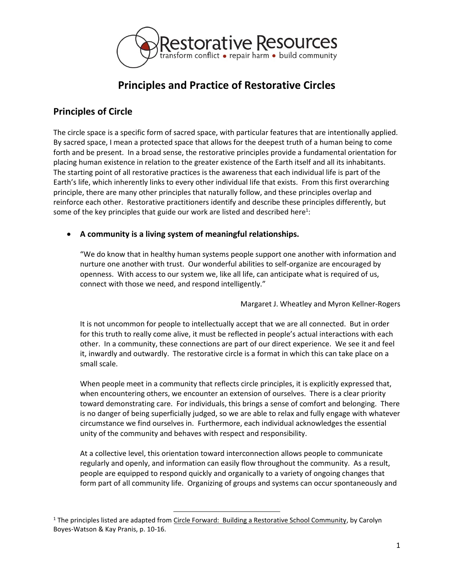

# **Principles and Practice of Restorative Circles**

# **Principles of Circle**

The circle space is a specific form of sacred space, with particular features that are intentionally applied. By sacred space, I mean a protected space that allows for the deepest truth of a human being to come forth and be present. In a broad sense, the restorative principles provide a fundamental orientation for placing human existence in relation to the greater existence of the Earth itself and all its inhabitants. The starting point of all restorative practices is the awareness that each individual life is part of the Earth's life, which inherently links to every other individual life that exists. From this first overarching principle, there are many other principles that naturally follow, and these principles overlap and reinforce each other. Restorative practitioners identify and describe these principles differently, but some of the key principles that guide our work are listed and described here<sup>1</sup>:

### **A community is a living system of meaningful relationships.**

"We do know that in healthy human systems people support one another with information and nurture one another with trust. Our wonderful abilities to self-organize are encouraged by openness. With access to our system we, like all life, can anticipate what is required of us, connect with those we need, and respond intelligently."

Margaret J. Wheatley and Myron Kellner-Rogers

It is not uncommon for people to intellectually accept that we are all connected. But in order for this truth to really come alive, it must be reflected in people's actual interactions with each other. In a community, these connections are part of our direct experience. We see it and feel it, inwardly and outwardly. The restorative circle is a format in which this can take place on a small scale.

When people meet in a community that reflects circle principles, it is explicitly expressed that, when encountering others, we encounter an extension of ourselves. There is a clear priority toward demonstrating care. For individuals, this brings a sense of comfort and belonging. There is no danger of being superficially judged, so we are able to relax and fully engage with whatever circumstance we find ourselves in. Furthermore, each individual acknowledges the essential unity of the community and behaves with respect and responsibility.

At a collective level, this orientation toward interconnection allows people to communicate regularly and openly, and information can easily flow throughout the community. As a result, people are equipped to respond quickly and organically to a variety of ongoing changes that form part of all community life. Organizing of groups and systems can occur spontaneously and

l

<sup>&</sup>lt;sup>1</sup> The principles listed are adapted from Circle Forward: Building a Restorative School Community, by Carolyn Boyes-Watson & Kay Pranis, p. 10-16.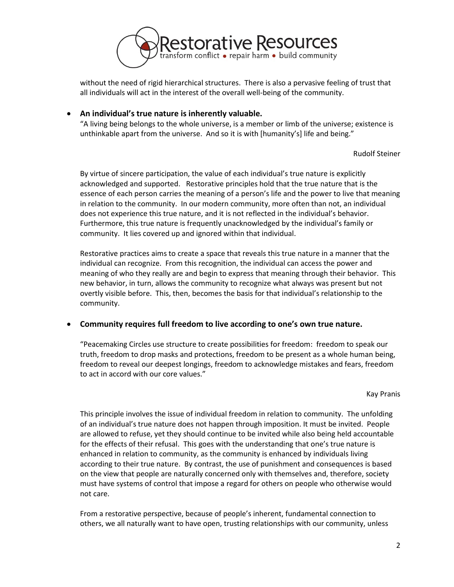

without the need of rigid hierarchical structures. There is also a pervasive feeling of trust that all individuals will act in the interest of the overall well-being of the community.

#### **An individual's true nature is inherently valuable.**

"A living being belongs to the whole universe, is a member or limb of the universe; existence is unthinkable apart from the universe. And so it is with [humanity's] life and being."

#### Rudolf Steiner

By virtue of sincere participation, the value of each individual's true nature is explicitly acknowledged and supported. Restorative principles hold that the true nature that is the essence of each person carries the meaning of a person's life and the power to live that meaning in relation to the community. In our modern community, more often than not, an individual does not experience this true nature, and it is not reflected in the individual's behavior. Furthermore, this true nature is frequently unacknowledged by the individual's family or community. It lies covered up and ignored within that individual.

Restorative practices aims to create a space that reveals this true nature in a manner that the individual can recognize. From this recognition, the individual can access the power and meaning of who they really are and begin to express that meaning through their behavior. This new behavior, in turn, allows the community to recognize what always was present but not overtly visible before. This, then, becomes the basis for that individual's relationship to the community.

#### **Community requires full freedom to live according to one's own true nature.**

"Peacemaking Circles use structure to create possibilities for freedom: freedom to speak our truth, freedom to drop masks and protections, freedom to be present as a whole human being, freedom to reveal our deepest longings, freedom to acknowledge mistakes and fears, freedom to act in accord with our core values."

#### Kay Pranis

This principle involves the issue of individual freedom in relation to community. The unfolding of an individual's true nature does not happen through imposition. It must be invited. People are allowed to refuse, yet they should continue to be invited while also being held accountable for the effects of their refusal. This goes with the understanding that one's true nature is enhanced in relation to community, as the community is enhanced by individuals living according to their true nature. By contrast, the use of punishment and consequences is based on the view that people are naturally concerned only with themselves and, therefore, society must have systems of control that impose a regard for others on people who otherwise would not care.

From a restorative perspective, because of people's inherent, fundamental connection to others, we all naturally want to have open, trusting relationships with our community, unless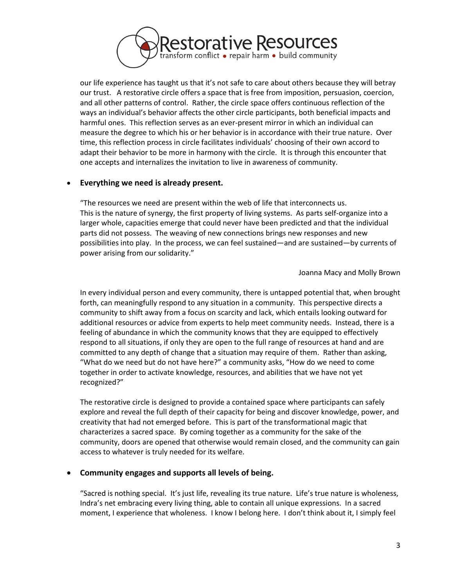

our life experience has taught us that it's not safe to care about others because they will betray our trust. A restorative circle offers a space that is free from imposition, persuasion, coercion, and all other patterns of control. Rather, the circle space offers continuous reflection of the ways an individual's behavior affects the other circle participants, both beneficial impacts and harmful ones. This reflection serves as an ever-present mirror in which an individual can measure the degree to which his or her behavior is in accordance with their true nature. Over time, this reflection process in circle facilitates individuals' choosing of their own accord to adapt their behavior to be more in harmony with the circle. It is through this encounter that one accepts and internalizes the invitation to live in awareness of community.

#### **Everything we need is already present.**

"The resources we need are present within the web of life that interconnects us. This is the nature of synergy, the first property of living systems. As parts self-organize into a larger whole, capacities emerge that could never have been predicted and that the individual parts did not possess. The weaving of new connections brings new responses and new possibilities into play. In the process, we can feel sustained—and are sustained—by currents of power arising from our solidarity."

Joanna Macy and Molly Brown

In every individual person and every community, there is untapped potential that, when brought forth, can meaningfully respond to any situation in a community. This perspective directs a community to shift away from a focus on scarcity and lack, which entails looking outward for additional resources or advice from experts to help meet community needs. Instead, there is a feeling of abundance in which the community knows that they are equipped to effectively respond to all situations, if only they are open to the full range of resources at hand and are committed to any depth of change that a situation may require of them. Rather than asking, "What do we need but do not have here?" a community asks, "How do we need to come together in order to activate knowledge, resources, and abilities that we have not yet recognized?"

The restorative circle is designed to provide a contained space where participants can safely explore and reveal the full depth of their capacity for being and discover knowledge, power, and creativity that had not emerged before. This is part of the transformational magic that characterizes a sacred space. By coming together as a community for the sake of the community, doors are opened that otherwise would remain closed, and the community can gain access to whatever is truly needed for its welfare.

#### **Community engages and supports all levels of being.**

"Sacred is nothing special. It's just life, revealing its true nature. Life's true nature is wholeness, Indra's net embracing every living thing, able to contain all unique expressions. In a sacred moment, I experience that wholeness. I know I belong here. I don't think about it, I simply feel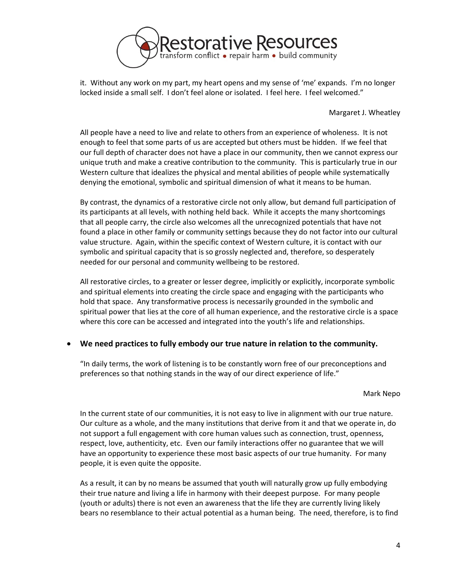

it. Without any work on my part, my heart opens and my sense of 'me' expands. I'm no longer locked inside a small self. I don't feel alone or isolated. I feel here. I feel welcomed."

Margaret J. Wheatley

All people have a need to live and relate to others from an experience of wholeness. It is not enough to feel that some parts of us are accepted but others must be hidden. If we feel that our full depth of character does not have a place in our community, then we cannot express our unique truth and make a creative contribution to the community. This is particularly true in our Western culture that idealizes the physical and mental abilities of people while systematically denying the emotional, symbolic and spiritual dimension of what it means to be human.

By contrast, the dynamics of a restorative circle not only allow, but demand full participation of its participants at all levels, with nothing held back. While it accepts the many shortcomings that all people carry, the circle also welcomes all the unrecognized potentials that have not found a place in other family or community settings because they do not factor into our cultural value structure. Again, within the specific context of Western culture, it is contact with our symbolic and spiritual capacity that is so grossly neglected and, therefore, so desperately needed for our personal and community wellbeing to be restored.

All restorative circles, to a greater or lesser degree, implicitly or explicitly, incorporate symbolic and spiritual elements into creating the circle space and engaging with the participants who hold that space. Any transformative process is necessarily grounded in the symbolic and spiritual power that lies at the core of all human experience, and the restorative circle is a space where this core can be accessed and integrated into the youth's life and relationships.

#### **We need practices to fully embody our true nature in relation to the community.**

"In daily terms, the work of listening is to be constantly worn free of our preconceptions and preferences so that nothing stands in the way of our direct experience of life."

#### Mark Nepo

In the current state of our communities, it is not easy to live in alignment with our true nature. Our culture as a whole, and the many institutions that derive from it and that we operate in, do not support a full engagement with core human values such as connection, trust, openness, respect, love, authenticity, etc. Even our family interactions offer no guarantee that we will have an opportunity to experience these most basic aspects of our true humanity. For many people, it is even quite the opposite.

As a result, it can by no means be assumed that youth will naturally grow up fully embodying their true nature and living a life in harmony with their deepest purpose. For many people (youth or adults) there is not even an awareness that the life they are currently living likely bears no resemblance to their actual potential as a human being. The need, therefore, is to find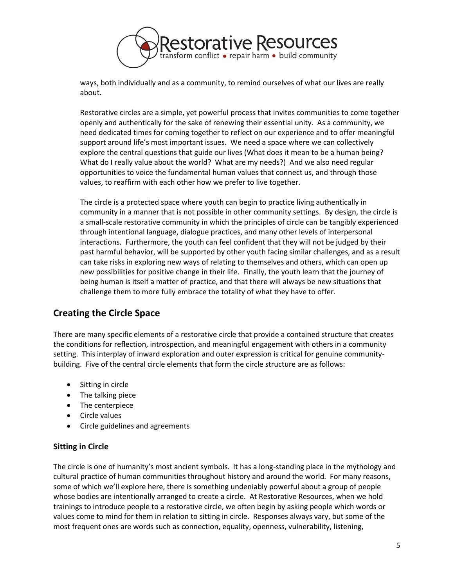

ways, both individually and as a community, to remind ourselves of what our lives are really about.

Restorative circles are a simple, yet powerful process that invites communities to come together openly and authentically for the sake of renewing their essential unity. As a community, we need dedicated times for coming together to reflect on our experience and to offer meaningful support around life's most important issues. We need a space where we can collectively explore the central questions that guide our lives (What does it mean to be a human being? What do I really value about the world? What are my needs?) And we also need regular opportunities to voice the fundamental human values that connect us, and through those values, to reaffirm with each other how we prefer to live together.

The circle is a protected space where youth can begin to practice living authentically in community in a manner that is not possible in other community settings. By design, the circle is a small-scale restorative community in which the principles of circle can be tangibly experienced through intentional language, dialogue practices, and many other levels of interpersonal interactions. Furthermore, the youth can feel confident that they will not be judged by their past harmful behavior, will be supported by other youth facing similar challenges, and as a result can take risks in exploring new ways of relating to themselves and others, which can open up new possibilities for positive change in their life. Finally, the youth learn that the journey of being human is itself a matter of practice, and that there will always be new situations that challenge them to more fully embrace the totality of what they have to offer.

# **Creating the Circle Space**

There are many specific elements of a restorative circle that provide a contained structure that creates the conditions for reflection, introspection, and meaningful engagement with others in a community setting. This interplay of inward exploration and outer expression is critical for genuine communitybuilding. Five of the central circle elements that form the circle structure are as follows:

- Sitting in circle
- The talking piece
- The centerpiece
- Circle values
- Circle guidelines and agreements

#### **Sitting in Circle**

The circle is one of humanity's most ancient symbols. It has a long-standing place in the mythology and cultural practice of human communities throughout history and around the world. For many reasons, some of which we'll explore here, there is something undeniably powerful about a group of people whose bodies are intentionally arranged to create a circle. At Restorative Resources, when we hold trainings to introduce people to a restorative circle, we often begin by asking people which words or values come to mind for them in relation to sitting in circle. Responses always vary, but some of the most frequent ones are words such as connection, equality, openness, vulnerability, listening,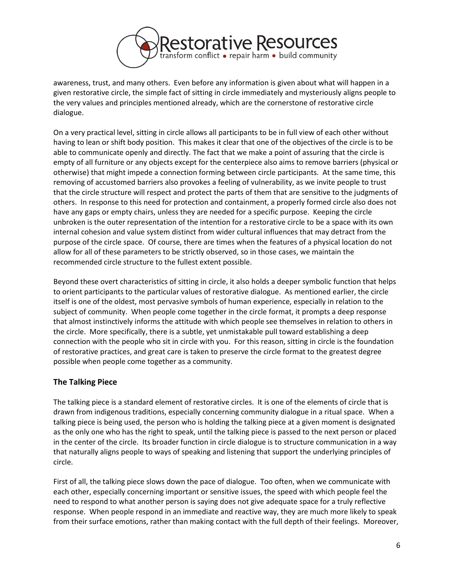

awareness, trust, and many others. Even before any information is given about what will happen in a given restorative circle, the simple fact of sitting in circle immediately and mysteriously aligns people to the very values and principles mentioned already, which are the cornerstone of restorative circle dialogue.

On a very practical level, sitting in circle allows all participants to be in full view of each other without having to lean or shift body position. This makes it clear that one of the objectives of the circle is to be able to communicate openly and directly. The fact that we make a point of assuring that the circle is empty of all furniture or any objects except for the centerpiece also aims to remove barriers (physical or otherwise) that might impede a connection forming between circle participants. At the same time, this removing of accustomed barriers also provokes a feeling of vulnerability, as we invite people to trust that the circle structure will respect and protect the parts of them that are sensitive to the judgments of others. In response to this need for protection and containment, a properly formed circle also does not have any gaps or empty chairs, unless they are needed for a specific purpose. Keeping the circle unbroken is the outer representation of the intention for a restorative circle to be a space with its own internal cohesion and value system distinct from wider cultural influences that may detract from the purpose of the circle space. Of course, there are times when the features of a physical location do not allow for all of these parameters to be strictly observed, so in those cases, we maintain the recommended circle structure to the fullest extent possible.

Beyond these overt characteristics of sitting in circle, it also holds a deeper symbolic function that helps to orient participants to the particular values of restorative dialogue. As mentioned earlier, the circle itself is one of the oldest, most pervasive symbols of human experience, especially in relation to the subject of community. When people come together in the circle format, it prompts a deep response that almost instinctively informs the attitude with which people see themselves in relation to others in the circle. More specifically, there is a subtle, yet unmistakable pull toward establishing a deep connection with the people who sit in circle with you. For this reason, sitting in circle is the foundation of restorative practices, and great care is taken to preserve the circle format to the greatest degree possible when people come together as a community.

#### **The Talking Piece**

The talking piece is a standard element of restorative circles. It is one of the elements of circle that is drawn from indigenous traditions, especially concerning community dialogue in a ritual space. When a talking piece is being used, the person who is holding the talking piece at a given moment is designated as the only one who has the right to speak, until the talking piece is passed to the next person or placed in the center of the circle. Its broader function in circle dialogue is to structure communication in a way that naturally aligns people to ways of speaking and listening that support the underlying principles of circle.

First of all, the talking piece slows down the pace of dialogue. Too often, when we communicate with each other, especially concerning important or sensitive issues, the speed with which people feel the need to respond to what another person is saying does not give adequate space for a truly reflective response. When people respond in an immediate and reactive way, they are much more likely to speak from their surface emotions, rather than making contact with the full depth of their feelings. Moreover,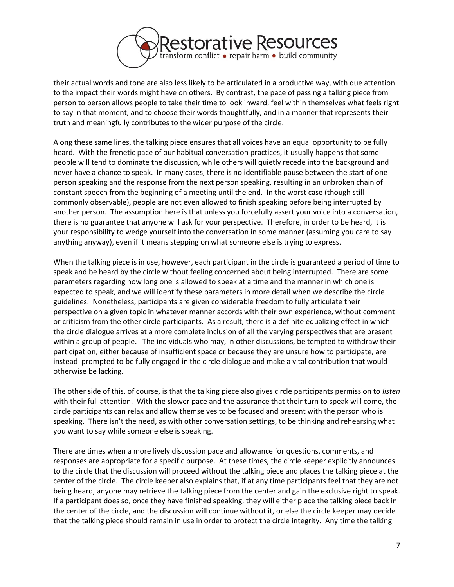

their actual words and tone are also less likely to be articulated in a productive way, with due attention to the impact their words might have on others. By contrast, the pace of passing a talking piece from person to person allows people to take their time to look inward, feel within themselves what feels right to say in that moment, and to choose their words thoughtfully, and in a manner that represents their truth and meaningfully contributes to the wider purpose of the circle.

Along these same lines, the talking piece ensures that all voices have an equal opportunity to be fully heard. With the frenetic pace of our habitual conversation practices, it usually happens that some people will tend to dominate the discussion, while others will quietly recede into the background and never have a chance to speak. In many cases, there is no identifiable pause between the start of one person speaking and the response from the next person speaking, resulting in an unbroken chain of constant speech from the beginning of a meeting until the end. In the worst case (though still commonly observable), people are not even allowed to finish speaking before being interrupted by another person. The assumption here is that unless you forcefully assert your voice into a conversation, there is no guarantee that anyone will ask for your perspective. Therefore, in order to be heard, it is your responsibility to wedge yourself into the conversation in some manner (assuming you care to say anything anyway), even if it means stepping on what someone else is trying to express.

When the talking piece is in use, however, each participant in the circle is guaranteed a period of time to speak and be heard by the circle without feeling concerned about being interrupted. There are some parameters regarding how long one is allowed to speak at a time and the manner in which one is expected to speak, and we will identify these parameters in more detail when we describe the circle guidelines. Nonetheless, participants are given considerable freedom to fully articulate their perspective on a given topic in whatever manner accords with their own experience, without comment or criticism from the other circle participants. As a result, there is a definite equalizing effect in which the circle dialogue arrives at a more complete inclusion of all the varying perspectives that are present within a group of people. The individuals who may, in other discussions, be tempted to withdraw their participation, either because of insufficient space or because they are unsure how to participate, are instead prompted to be fully engaged in the circle dialogue and make a vital contribution that would otherwise be lacking.

The other side of this, of course, is that the talking piece also gives circle participants permission to *listen* with their full attention. With the slower pace and the assurance that their turn to speak will come, the circle participants can relax and allow themselves to be focused and present with the person who is speaking. There isn't the need, as with other conversation settings, to be thinking and rehearsing what you want to say while someone else is speaking.

There are times when a more lively discussion pace and allowance for questions, comments, and responses are appropriate for a specific purpose. At these times, the circle keeper explicitly announces to the circle that the discussion will proceed without the talking piece and places the talking piece at the center of the circle. The circle keeper also explains that, if at any time participants feel that they are not being heard, anyone may retrieve the talking piece from the center and gain the exclusive right to speak. If a participant does so, once they have finished speaking, they will either place the talking piece back in the center of the circle, and the discussion will continue without it, or else the circle keeper may decide that the talking piece should remain in use in order to protect the circle integrity. Any time the talking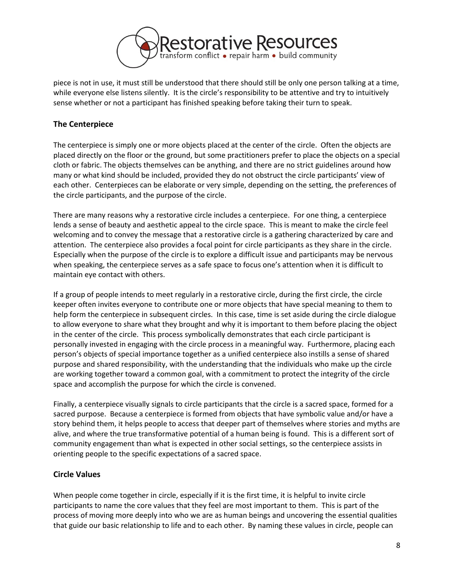

piece is not in use, it must still be understood that there should still be only one person talking at a time, while everyone else listens silently. It is the circle's responsibility to be attentive and try to intuitively sense whether or not a participant has finished speaking before taking their turn to speak.

## **The Centerpiece**

The centerpiece is simply one or more objects placed at the center of the circle. Often the objects are placed directly on the floor or the ground, but some practitioners prefer to place the objects on a special cloth or fabric. The objects themselves can be anything, and there are no strict guidelines around how many or what kind should be included, provided they do not obstruct the circle participants' view of each other. Centerpieces can be elaborate or very simple, depending on the setting, the preferences of the circle participants, and the purpose of the circle.

There are many reasons why a restorative circle includes a centerpiece. For one thing, a centerpiece lends a sense of beauty and aesthetic appeal to the circle space. This is meant to make the circle feel welcoming and to convey the message that a restorative circle is a gathering characterized by care and attention. The centerpiece also provides a focal point for circle participants as they share in the circle. Especially when the purpose of the circle is to explore a difficult issue and participants may be nervous when speaking, the centerpiece serves as a safe space to focus one's attention when it is difficult to maintain eye contact with others.

If a group of people intends to meet regularly in a restorative circle, during the first circle, the circle keeper often invites everyone to contribute one or more objects that have special meaning to them to help form the centerpiece in subsequent circles. In this case, time is set aside during the circle dialogue to allow everyone to share what they brought and why it is important to them before placing the object in the center of the circle. This process symbolically demonstrates that each circle participant is personally invested in engaging with the circle process in a meaningful way. Furthermore, placing each person's objects of special importance together as a unified centerpiece also instills a sense of shared purpose and shared responsibility, with the understanding that the individuals who make up the circle are working together toward a common goal, with a commitment to protect the integrity of the circle space and accomplish the purpose for which the circle is convened.

Finally, a centerpiece visually signals to circle participants that the circle is a sacred space, formed for a sacred purpose. Because a centerpiece is formed from objects that have symbolic value and/or have a story behind them, it helps people to access that deeper part of themselves where stories and myths are alive, and where the true transformative potential of a human being is found. This is a different sort of community engagement than what is expected in other social settings, so the centerpiece assists in orienting people to the specific expectations of a sacred space.

#### **Circle Values**

When people come together in circle, especially if it is the first time, it is helpful to invite circle participants to name the core values that they feel are most important to them. This is part of the process of moving more deeply into who we are as human beings and uncovering the essential qualities that guide our basic relationship to life and to each other. By naming these values in circle, people can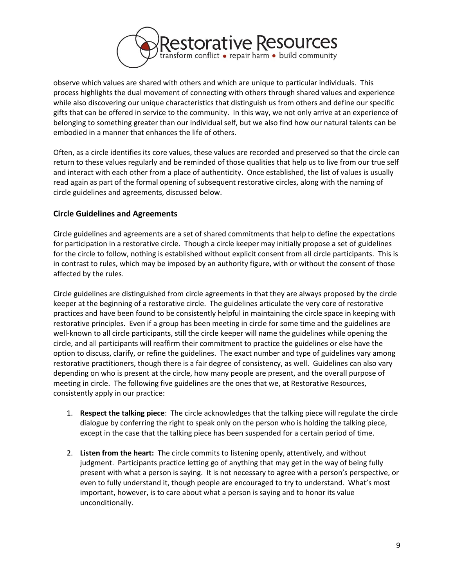

observe which values are shared with others and which are unique to particular individuals. This process highlights the dual movement of connecting with others through shared values and experience while also discovering our unique characteristics that distinguish us from others and define our specific gifts that can be offered in service to the community. In this way, we not only arrive at an experience of belonging to something greater than our individual self, but we also find how our natural talents can be embodied in a manner that enhances the life of others.

Often, as a circle identifies its core values, these values are recorded and preserved so that the circle can return to these values regularly and be reminded of those qualities that help us to live from our true self and interact with each other from a place of authenticity. Once established, the list of values is usually read again as part of the formal opening of subsequent restorative circles, along with the naming of circle guidelines and agreements, discussed below.

### **Circle Guidelines and Agreements**

Circle guidelines and agreements are a set of shared commitments that help to define the expectations for participation in a restorative circle. Though a circle keeper may initially propose a set of guidelines for the circle to follow, nothing is established without explicit consent from all circle participants. This is in contrast to rules, which may be imposed by an authority figure, with or without the consent of those affected by the rules.

Circle guidelines are distinguished from circle agreements in that they are always proposed by the circle keeper at the beginning of a restorative circle. The guidelines articulate the very core of restorative practices and have been found to be consistently helpful in maintaining the circle space in keeping with restorative principles. Even if a group has been meeting in circle for some time and the guidelines are well-known to all circle participants, still the circle keeper will name the guidelines while opening the circle, and all participants will reaffirm their commitment to practice the guidelines or else have the option to discuss, clarify, or refine the guidelines. The exact number and type of guidelines vary among restorative practitioners, though there is a fair degree of consistency, as well. Guidelines can also vary depending on who is present at the circle, how many people are present, and the overall purpose of meeting in circle. The following five guidelines are the ones that we, at Restorative Resources, consistently apply in our practice:

- 1. **Respect the talking piece**: The circle acknowledges that the talking piece will regulate the circle dialogue by conferring the right to speak only on the person who is holding the talking piece, except in the case that the talking piece has been suspended for a certain period of time.
- 2. **Listen from the heart:** The circle commits to listening openly, attentively, and without judgment. Participants practice letting go of anything that may get in the way of being fully present with what a person is saying. It is not necessary to agree with a person's perspective, or even to fully understand it, though people are encouraged to try to understand. What's most important, however, is to care about what a person is saying and to honor its value unconditionally.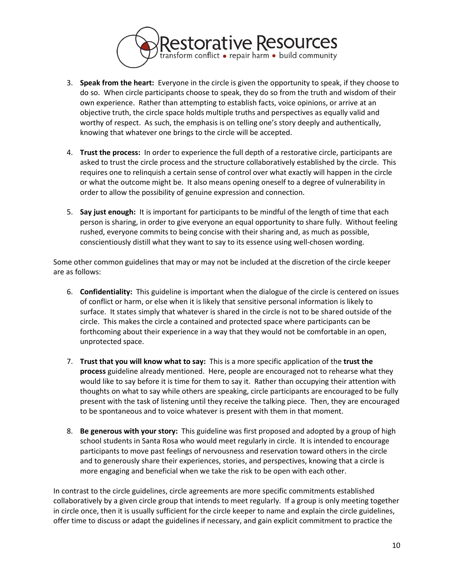

- 3. **Speak from the heart:** Everyone in the circle is given the opportunity to speak, if they choose to do so. When circle participants choose to speak, they do so from the truth and wisdom of their own experience. Rather than attempting to establish facts, voice opinions, or arrive at an objective truth, the circle space holds multiple truths and perspectives as equally valid and worthy of respect. As such, the emphasis is on telling one's story deeply and authentically, knowing that whatever one brings to the circle will be accepted.
- 4. **Trust the process:** In order to experience the full depth of a restorative circle, participants are asked to trust the circle process and the structure collaboratively established by the circle. This requires one to relinquish a certain sense of control over what exactly will happen in the circle or what the outcome might be. It also means opening oneself to a degree of vulnerability in order to allow the possibility of genuine expression and connection.
- 5. **Say just enough:** It is important for participants to be mindful of the length of time that each person is sharing, in order to give everyone an equal opportunity to share fully. Without feeling rushed, everyone commits to being concise with their sharing and, as much as possible, conscientiously distill what they want to say to its essence using well-chosen wording.

Some other common guidelines that may or may not be included at the discretion of the circle keeper are as follows:

- 6. **Confidentiality:** This guideline is important when the dialogue of the circle is centered on issues of conflict or harm, or else when it is likely that sensitive personal information is likely to surface. It states simply that whatever is shared in the circle is not to be shared outside of the circle. This makes the circle a contained and protected space where participants can be forthcoming about their experience in a way that they would not be comfortable in an open, unprotected space.
- 7. **Trust that you will know what to say:** This is a more specific application of the **trust the process** guideline already mentioned. Here, people are encouraged not to rehearse what they would like to say before it is time for them to say it. Rather than occupying their attention with thoughts on what to say while others are speaking, circle participants are encouraged to be fully present with the task of listening until they receive the talking piece. Then, they are encouraged to be spontaneous and to voice whatever is present with them in that moment.
- 8. **Be generous with your story:** This guideline was first proposed and adopted by a group of high school students in Santa Rosa who would meet regularly in circle. It is intended to encourage participants to move past feelings of nervousness and reservation toward others in the circle and to generously share their experiences, stories, and perspectives, knowing that a circle is more engaging and beneficial when we take the risk to be open with each other.

In contrast to the circle guidelines, circle agreements are more specific commitments established collaboratively by a given circle group that intends to meet regularly. If a group is only meeting together in circle once, then it is usually sufficient for the circle keeper to name and explain the circle guidelines, offer time to discuss or adapt the guidelines if necessary, and gain explicit commitment to practice the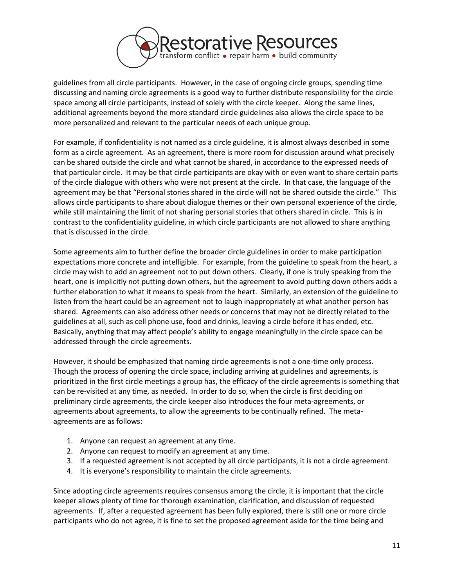

guidelines from all circle participants. However, in the case of ongoing circle groups, spending time discussing and naming circle agreements is a good way to further distribute responsibility for the circle space among all circle participants, instead of solely with the circle keeper. Along the same lines, additional agreements beyond the more standard circle guidelines also allows the circle space to be more personalized and relevant to the particular needs of each unique group.

For example, if confidentiality is not named as a circle guideline, it is almost always described in some form as a circle agreement. As an agreement, there is more room for discussion around what precisely can be shared outside the circle and what cannot be shared, in accordance to the expressed needs of that particular circle. It may be that circle participants are okay with or even want to share certain parts of the circle dialogue with others who were not present at the circle. In that case, the language of the agreement may be that "Personal stories shared in the circle will not be shared outside the circle." This allows circle participants to share about dialogue themes or their own personal experience of the circle, while still maintaining the limit of not sharing personal stories that others shared in circle. This is in contrast to the confidentiality guideline, in which circle participants are not allowed to share anything that is discussed in the circle.

Some agreements aim to further define the broader circle guidelines in order to make participation expectations more concrete and intelligible. For example, from the guideline to speak from the heart, a circle may wish to add an agreement not to put down others. Clearly, if one is truly speaking from the heart, one is implicitly not putting down others, but the agreement to avoid putting down others adds a further elaboration to what it means to speak from the heart. Similarly, an extension of the guideline to listen from the heart could be an agreement not to laugh inappropriately at what another person has shared. Agreements can also address other needs or concerns that may not be directly related to the guidelines at all, such as cell phone use, food and drinks, leaving a circle before it has ended, etc. Basically, anything that may affect people's ability to engage meaningfully in the circle space can be addressed through the circle agreements.

However, it should be emphasized that naming circle agreements is not a one-time only process. Though the process of opening the circle space, including arriving at guidelines and agreements, is prioritized in the first circle meetings a group has, the efficacy of the circle agreements is something that can be re-visited at any time, as needed. In order to do so, when the circle is first deciding on preliminary circle agreements, the circle keeper also introduces the four meta-agreements, or agreements about agreements, to allow the agreements to be continually refined. The metaagreements are as follows:

- 1. Anyone can request an agreement at any time.
- 2. Anyone can request to modify an agreement at any time.
- 3. If a requested agreement is not accepted by all circle participants, it is not a circle agreement.
- 4. It is everyone's responsibility to maintain the circle agreements.

Since adopting circle agreements requires consensus among the circle, it is important that the circle keeper allows plenty of time for thorough examination, clarification, and discussion of requested agreements. If, after a requested agreement has been fully explored, there is still one or more circle participants who do not agree, it is fine to set the proposed agreement aside for the time being and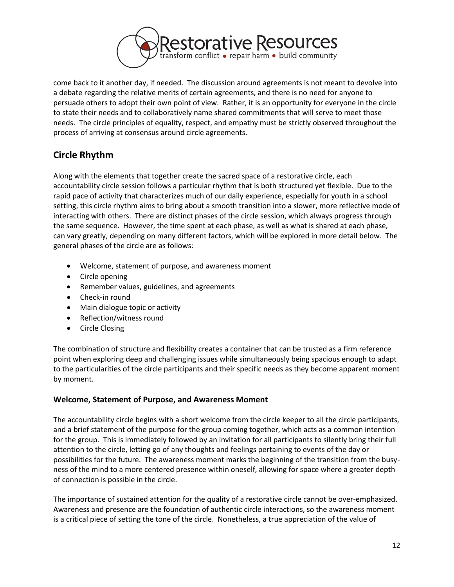

come back to it another day, if needed. The discussion around agreements is not meant to devolve into a debate regarding the relative merits of certain agreements, and there is no need for anyone to persuade others to adopt their own point of view. Rather, it is an opportunity for everyone in the circle to state their needs and to collaboratively name shared commitments that will serve to meet those needs. The circle principles of equality, respect, and empathy must be strictly observed throughout the process of arriving at consensus around circle agreements.

# **Circle Rhythm**

Along with the elements that together create the sacred space of a restorative circle, each accountability circle session follows a particular rhythm that is both structured yet flexible. Due to the rapid pace of activity that characterizes much of our daily experience, especially for youth in a school setting, this circle rhythm aims to bring about a smooth transition into a slower, more reflective mode of interacting with others. There are distinct phases of the circle session, which always progress through the same sequence. However, the time spent at each phase, as well as what is shared at each phase, can vary greatly, depending on many different factors, which will be explored in more detail below. The general phases of the circle are as follows:

- Welcome, statement of purpose, and awareness moment
- Circle opening
- Remember values, guidelines, and agreements
- Check-in round
- Main dialogue topic or activity
- Reflection/witness round
- Circle Closing

The combination of structure and flexibility creates a container that can be trusted as a firm reference point when exploring deep and challenging issues while simultaneously being spacious enough to adapt to the particularities of the circle participants and their specific needs as they become apparent moment by moment.

#### **Welcome, Statement of Purpose, and Awareness Moment**

The accountability circle begins with a short welcome from the circle keeper to all the circle participants, and a brief statement of the purpose for the group coming together, which acts as a common intention for the group. This is immediately followed by an invitation for all participants to silently bring their full attention to the circle, letting go of any thoughts and feelings pertaining to events of the day or possibilities for the future. The awareness moment marks the beginning of the transition from the busyness of the mind to a more centered presence within oneself, allowing for space where a greater depth of connection is possible in the circle.

The importance of sustained attention for the quality of a restorative circle cannot be over-emphasized. Awareness and presence are the foundation of authentic circle interactions, so the awareness moment is a critical piece of setting the tone of the circle. Nonetheless, a true appreciation of the value of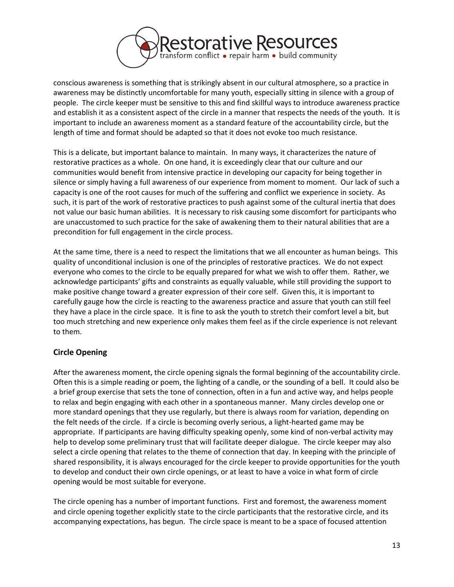

conscious awareness is something that is strikingly absent in our cultural atmosphere, so a practice in awareness may be distinctly uncomfortable for many youth, especially sitting in silence with a group of people. The circle keeper must be sensitive to this and find skillful ways to introduce awareness practice and establish it as a consistent aspect of the circle in a manner that respects the needs of the youth. It is important to include an awareness moment as a standard feature of the accountability circle, but the length of time and format should be adapted so that it does not evoke too much resistance.

This is a delicate, but important balance to maintain. In many ways, it characterizes the nature of restorative practices as a whole. On one hand, it is exceedingly clear that our culture and our communities would benefit from intensive practice in developing our capacity for being together in silence or simply having a full awareness of our experience from moment to moment. Our lack of such a capacity is one of the root causes for much of the suffering and conflict we experience in society. As such, it is part of the work of restorative practices to push against some of the cultural inertia that does not value our basic human abilities. It is necessary to risk causing some discomfort for participants who are unaccustomed to such practice for the sake of awakening them to their natural abilities that are a precondition for full engagement in the circle process.

At the same time, there is a need to respect the limitations that we all encounter as human beings. This quality of unconditional inclusion is one of the principles of restorative practices. We do not expect everyone who comes to the circle to be equally prepared for what we wish to offer them. Rather, we acknowledge participants' gifts and constraints as equally valuable, while still providing the support to make positive change toward a greater expression of their core self. Given this, it is important to carefully gauge how the circle is reacting to the awareness practice and assure that youth can still feel they have a place in the circle space. It is fine to ask the youth to stretch their comfort level a bit, but too much stretching and new experience only makes them feel as if the circle experience is not relevant to them.

# **Circle Opening**

After the awareness moment, the circle opening signals the formal beginning of the accountability circle. Often this is a simple reading or poem, the lighting of a candle, or the sounding of a bell. It could also be a brief group exercise that sets the tone of connection, often in a fun and active way, and helps people to relax and begin engaging with each other in a spontaneous manner. Many circles develop one or more standard openings that they use regularly, but there is always room for variation, depending on the felt needs of the circle. If a circle is becoming overly serious, a light-hearted game may be appropriate. If participants are having difficulty speaking openly, some kind of non-verbal activity may help to develop some preliminary trust that will facilitate deeper dialogue. The circle keeper may also select a circle opening that relates to the theme of connection that day. In keeping with the principle of shared responsibility, it is always encouraged for the circle keeper to provide opportunities for the youth to develop and conduct their own circle openings, or at least to have a voice in what form of circle opening would be most suitable for everyone.

The circle opening has a number of important functions. First and foremost, the awareness moment and circle opening together explicitly state to the circle participants that the restorative circle, and its accompanying expectations, has begun. The circle space is meant to be a space of focused attention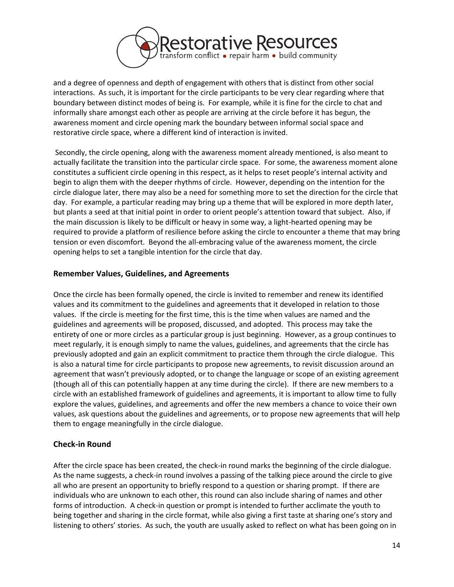

and a degree of openness and depth of engagement with others that is distinct from other social interactions. As such, it is important for the circle participants to be very clear regarding where that boundary between distinct modes of being is. For example, while it is fine for the circle to chat and informally share amongst each other as people are arriving at the circle before it has begun, the awareness moment and circle opening mark the boundary between informal social space and restorative circle space, where a different kind of interaction is invited.

Secondly, the circle opening, along with the awareness moment already mentioned, is also meant to actually facilitate the transition into the particular circle space. For some, the awareness moment alone constitutes a sufficient circle opening in this respect, as it helps to reset people's internal activity and begin to align them with the deeper rhythms of circle. However, depending on the intention for the circle dialogue later, there may also be a need for something more to set the direction for the circle that day. For example, a particular reading may bring up a theme that will be explored in more depth later, but plants a seed at that initial point in order to orient people's attention toward that subject. Also, if the main discussion is likely to be difficult or heavy in some way, a light-hearted opening may be required to provide a platform of resilience before asking the circle to encounter a theme that may bring tension or even discomfort. Beyond the all-embracing value of the awareness moment, the circle opening helps to set a tangible intention for the circle that day.

### **Remember Values, Guidelines, and Agreements**

Once the circle has been formally opened, the circle is invited to remember and renew its identified values and its commitment to the guidelines and agreements that it developed in relation to those values. If the circle is meeting for the first time, this is the time when values are named and the guidelines and agreements will be proposed, discussed, and adopted. This process may take the entirety of one or more circles as a particular group is just beginning. However, as a group continues to meet regularly, it is enough simply to name the values, guidelines, and agreements that the circle has previously adopted and gain an explicit commitment to practice them through the circle dialogue. This is also a natural time for circle participants to propose new agreements, to revisit discussion around an agreement that wasn't previously adopted, or to change the language or scope of an existing agreement (though all of this can potentially happen at any time during the circle). If there are new members to a circle with an established framework of guidelines and agreements, it is important to allow time to fully explore the values, guidelines, and agreements and offer the new members a chance to voice their own values, ask questions about the guidelines and agreements, or to propose new agreements that will help them to engage meaningfully in the circle dialogue.

#### **Check-in Round**

After the circle space has been created, the check-in round marks the beginning of the circle dialogue. As the name suggests, a check-in round involves a passing of the talking piece around the circle to give all who are present an opportunity to briefly respond to a question or sharing prompt. If there are individuals who are unknown to each other, this round can also include sharing of names and other forms of introduction. A check-in question or prompt is intended to further acclimate the youth to being together and sharing in the circle format, while also giving a first taste at sharing one's story and listening to others' stories. As such, the youth are usually asked to reflect on what has been going on in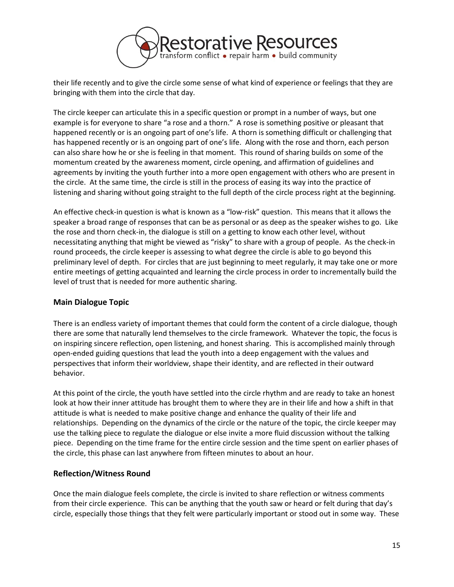

their life recently and to give the circle some sense of what kind of experience or feelings that they are bringing with them into the circle that day.

The circle keeper can articulate this in a specific question or prompt in a number of ways, but one example is for everyone to share "a rose and a thorn." A rose is something positive or pleasant that happened recently or is an ongoing part of one's life. A thorn is something difficult or challenging that has happened recently or is an ongoing part of one's life. Along with the rose and thorn, each person can also share how he or she is feeling in that moment. This round of sharing builds on some of the momentum created by the awareness moment, circle opening, and affirmation of guidelines and agreements by inviting the youth further into a more open engagement with others who are present in the circle. At the same time, the circle is still in the process of easing its way into the practice of listening and sharing without going straight to the full depth of the circle process right at the beginning.

An effective check-in question is what is known as a "low-risk" question. This means that it allows the speaker a broad range of responses that can be as personal or as deep as the speaker wishes to go. Like the rose and thorn check-in, the dialogue is still on a getting to know each other level, without necessitating anything that might be viewed as "risky" to share with a group of people. As the check-in round proceeds, the circle keeper is assessing to what degree the circle is able to go beyond this preliminary level of depth. For circles that are just beginning to meet regularly, it may take one or more entire meetings of getting acquainted and learning the circle process in order to incrementally build the level of trust that is needed for more authentic sharing.

#### **Main Dialogue Topic**

There is an endless variety of important themes that could form the content of a circle dialogue, though there are some that naturally lend themselves to the circle framework. Whatever the topic, the focus is on inspiring sincere reflection, open listening, and honest sharing. This is accomplished mainly through open-ended guiding questions that lead the youth into a deep engagement with the values and perspectives that inform their worldview, shape their identity, and are reflected in their outward behavior.

At this point of the circle, the youth have settled into the circle rhythm and are ready to take an honest look at how their inner attitude has brought them to where they are in their life and how a shift in that attitude is what is needed to make positive change and enhance the quality of their life and relationships. Depending on the dynamics of the circle or the nature of the topic, the circle keeper may use the talking piece to regulate the dialogue or else invite a more fluid discussion without the talking piece. Depending on the time frame for the entire circle session and the time spent on earlier phases of the circle, this phase can last anywhere from fifteen minutes to about an hour.

#### **Reflection/Witness Round**

Once the main dialogue feels complete, the circle is invited to share reflection or witness comments from their circle experience. This can be anything that the youth saw or heard or felt during that day's circle, especially those things that they felt were particularly important or stood out in some way. These